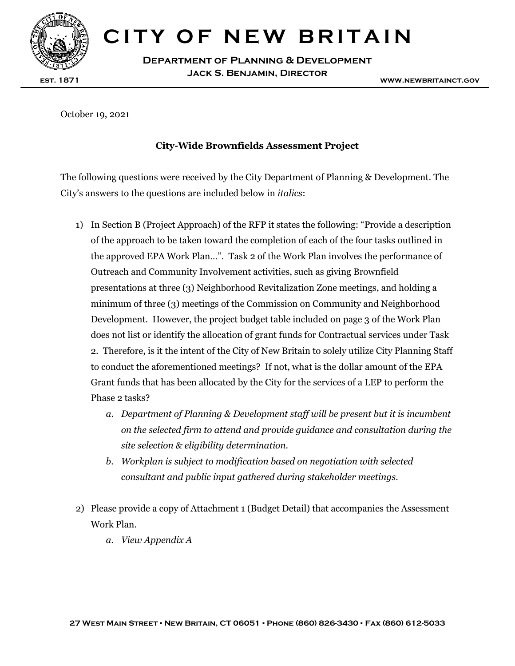

# **CITY OF NEW BRITAIN**

**Department of Planning & Development Jack S. Benjamin, Director**

October 19, 2021

## **City-Wide Brownfields Assessment Project**

The following questions were received by the City Department of Planning & Development. The City's answers to the questions are included below in *italics*:

- 1) In Section B (Project Approach) of the RFP it states the following: "Provide a description of the approach to be taken toward the completion of each of the four tasks outlined in the approved EPA Work Plan…". Task 2 of the Work Plan involves the performance of Outreach and Community Involvement activities, such as giving Brownfield presentations at three (3) Neighborhood Revitalization Zone meetings, and holding a minimum of three (3) meetings of the Commission on Community and Neighborhood Development. However, the project budget table included on page 3 of the Work Plan does not list or identify the allocation of grant funds for Contractual services under Task 2. Therefore, is it the intent of the City of New Britain to solely utilize City Planning Staff to conduct the aforementioned meetings? If not, what is the dollar amount of the EPA Grant funds that has been allocated by the City for the services of a LEP to perform the Phase 2 tasks?
	- *a. Department of Planning & Development staff will be present but it is incumbent on the selected firm to attend and provide guidance and consultation during the site selection & eligibility determination.*
	- *b. Workplan is subject to modification based on negotiation with selected consultant and public input gathered during stakeholder meetings.*
- 2) Please provide a copy of Attachment 1 (Budget Detail) that accompanies the Assessment Work Plan.
	- *a. View Appendix A*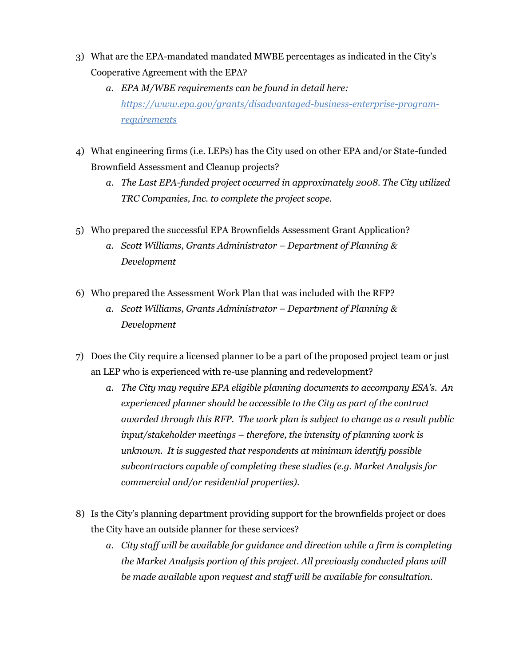- 3) What are the EPA-mandated mandated MWBE percentages as indicated in the City's Cooperative Agreement with the EPA?
	- *a. EPA M/WBE requirements can be found in detail here: [https://www.epa.gov/grants/disadvantaged-business-enterprise-program](https://www.epa.gov/grants/disadvantaged-business-enterprise-program-requirements)[requirements](https://www.epa.gov/grants/disadvantaged-business-enterprise-program-requirements)*
- 4) What engineering firms (i.e. LEPs) has the City used on other EPA and/or State-funded Brownfield Assessment and Cleanup projects?
	- *a. The Last EPA-funded project occurred in approximately 2008. The City utilized TRC Companies, Inc. to complete the project scope.*
- 5) Who prepared the successful EPA Brownfields Assessment Grant Application?
	- *a. Scott Williams, Grants Administrator – Department of Planning & Development*
- 6) Who prepared the Assessment Work Plan that was included with the RFP?
	- *a. Scott Williams, Grants Administrator – Department of Planning & Development*
- 7) Does the City require a licensed planner to be a part of the proposed project team or just an LEP who is experienced with re-use planning and redevelopment?
	- *a. The City may require EPA eligible planning documents to accompany ESA's. An experienced planner should be accessible to the City as part of the contract awarded through this RFP. The work plan is subject to change as a result public input/stakeholder meetings – therefore, the intensity of planning work is unknown. It is suggested that respondents at minimum identify possible subcontractors capable of completing these studies (e.g. Market Analysis for commercial and/or residential properties).*
- 8) Is the City's planning department providing support for the brownfields project or does the City have an outside planner for these services?
	- *a. City staff will be available for guidance and direction while a firm is completing the Market Analysis portion of this project. All previously conducted plans will be made available upon request and staff will be available for consultation.*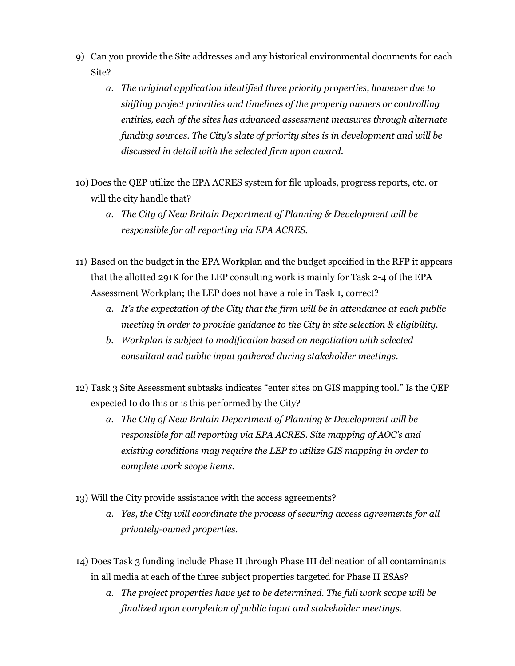- 9) Can you provide the Site addresses and any historical environmental documents for each Site?
	- *a. The original application identified three priority properties, however due to shifting project priorities and timelines of the property owners or controlling entities, each of the sites has advanced assessment measures through alternate funding sources. The City's slate of priority sites is in development and will be discussed in detail with the selected firm upon award.*
- 10) Does the QEP utilize the EPA ACRES system for file uploads, progress reports, etc. or will the city handle that?
	- *a. The City of New Britain Department of Planning & Development will be responsible for all reporting via EPA ACRES.*
- 11) Based on the budget in the EPA Workplan and the budget specified in the RFP it appears that the allotted 291K for the LEP consulting work is mainly for Task 2-4 of the EPA Assessment Workplan; the LEP does not have a role in Task 1, correct?
	- *a. It's the expectation of the City that the firm will be in attendance at each public meeting in order to provide guidance to the City in site selection & eligibility.*
	- *b. Workplan is subject to modification based on negotiation with selected consultant and public input gathered during stakeholder meetings.*
- 12) Task 3 Site Assessment subtasks indicates "enter sites on GIS mapping tool." Is the QEP expected to do this or is this performed by the City?
	- *a. The City of New Britain Department of Planning & Development will be responsible for all reporting via EPA ACRES. Site mapping of AOC's and existing conditions may require the LEP to utilize GIS mapping in order to complete work scope items.*
- 13) Will the City provide assistance with the access agreements?
	- *a. Yes, the City will coordinate the process of securing access agreements for all privately-owned properties.*
- 14) Does Task 3 funding include Phase II through Phase III delineation of all contaminants in all media at each of the three subject properties targeted for Phase II ESAs?
	- *a. The project properties have yet to be determined. The full work scope will be finalized upon completion of public input and stakeholder meetings.*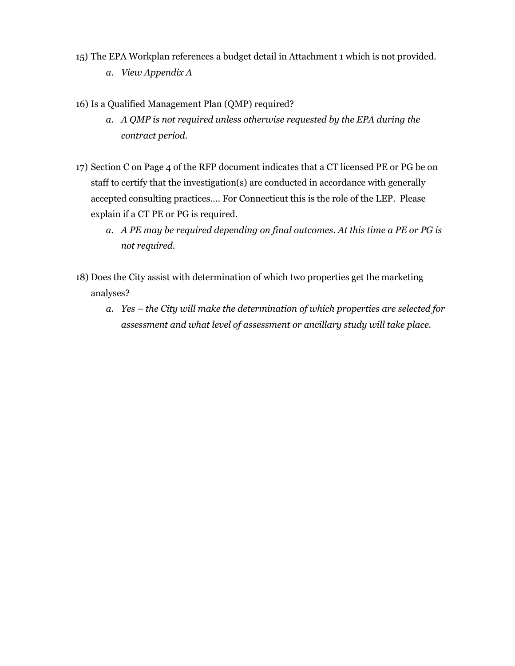- 15) The EPA Workplan references a budget detail in Attachment 1 which is not provided.
	- *a. View Appendix A*
- 16) Is a Qualified Management Plan (QMP) required?
	- *a. A QMP is not required unless otherwise requested by the EPA during the contract period.*
- 17) Section C on Page 4 of the RFP document indicates that a CT licensed PE or PG be on staff to certify that the investigation(s) are conducted in accordance with generally accepted consulting practices…. For Connecticut this is the role of the LEP. Please explain if a CT PE or PG is required.
	- *a. A PE may be required depending on final outcomes. At this time a PE or PG is not required.*
- 18) Does the City assist with determination of which two properties get the marketing analyses?
	- *a. Yes – the City will make the determination of which properties are selected for assessment and what level of assessment or ancillary study will take place.*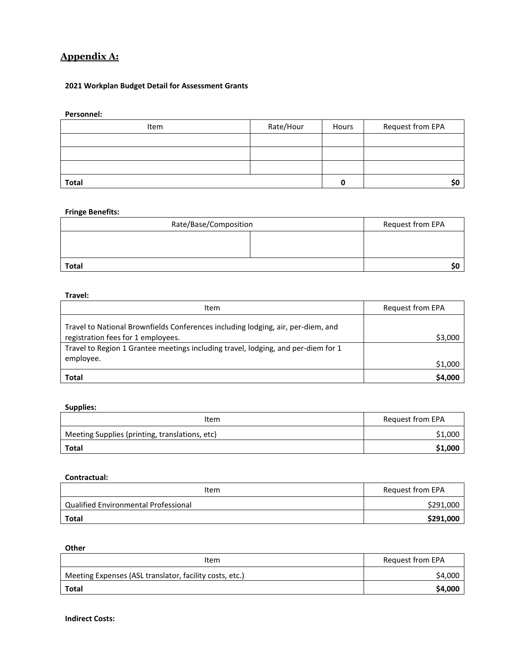## **Appendix A:**

## **2021 Workplan Budget Detail for Assessment Grants**

#### **Personnel:**

| Item         | Rate/Hour | Hours | Request from EPA |
|--------------|-----------|-------|------------------|
|              |           |       |                  |
|              |           |       |                  |
|              |           |       |                  |
| <b>Total</b> |           | Ω     | SΟ               |

## **Fringe Benefits:**

| Rate/Base/Composition |  | Request from EPA |
|-----------------------|--|------------------|
|                       |  |                  |
|                       |  |                  |
| <b>Total</b>          |  |                  |

#### **Travel:**

| Item                                                                              | Request from EPA |
|-----------------------------------------------------------------------------------|------------------|
| Travel to National Brownfields Conferences including lodging, air, per-diem, and  |                  |
| registration fees for 1 employees.                                                | \$3,000          |
| Travel to Region 1 Grantee meetings including travel, lodging, and per-diem for 1 |                  |
| employee.                                                                         | \$1,000          |
| Total                                                                             | \$4,000          |

## **Supplies:**

| Item                                           | Request from EPA |
|------------------------------------------------|------------------|
| Meeting Supplies (printing, translations, etc) | \$1,000          |
| Total                                          | \$1,000          |

#### **Contractual:**

| Item                                 | Request from EPA |
|--------------------------------------|------------------|
| Qualified Environmental Professional | \$291,000        |
| Total                                | \$291,000        |

## **Other**

| Item                                                    | Request from EPA |
|---------------------------------------------------------|------------------|
| Meeting Expenses (ASL translator, facility costs, etc.) | \$4,000          |
| <b>Total</b>                                            | \$4,000          |